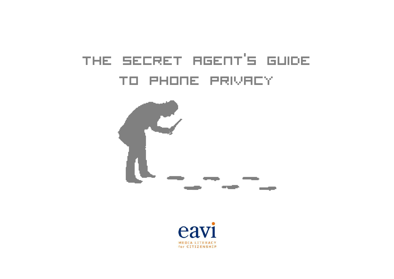# the secret agent's guide to phone privacy



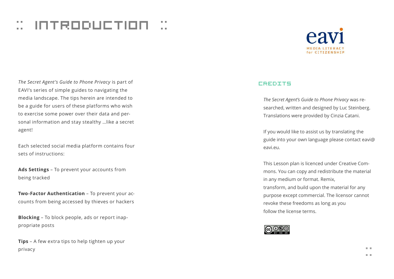## $::$  introduction  $::$



*The Secret Agent's Guide to Phone Privacy* is part of EAVI's series of simple guides to navigating the media landscape. The tips herein are intended to be a guide for users of these platforms who wish to exercise some power over their data and personal information and stay stealthy …like a secret agent!

Each selected social media platform contains four sets of instructions:

**Ads Settings** – To prevent your accounts from being tracked

**Two-Factor Authentication** – To prevent your accounts from being accessed by thieves or hackers

**Blocking** – To block people, ads or report inappropriate posts

**Tips** – A few extra tips to help tighten up your privacy

#### CREDITS

*The Secret Agent's Guide to Phone Privacy* was researched, written and designed by Luc Steinberg. Translations were provided by Cinzia Catani.

If you would like to assist us by translating the guide into your own language please contact eavi@ eavi.eu.

This Lesson plan is licenced under Creative Commons. You can copy and redistribute the material in any medium or format. Remix, transform, and build upon the material for any purpose except commercial. The licensor cannot revoke these freedoms as long as you follow the license terms.

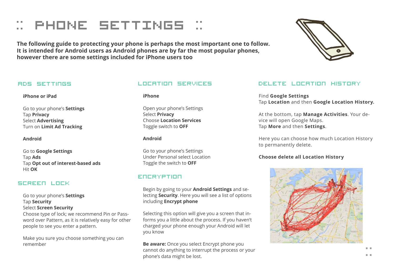## :: PHONE SETTINGS ::

**The following guide to protecting your phone is perhaps the most important one to follow. It is intended for Android users as Android phones are by far the most popular phones, however there are some settings included for iPhone users too**



#### Ads Settings

#### **iPhone or iPad**

Go to your phone's **Settings** Tap **Privacy** Select **Advertising** Turn on **Limit Ad Tracking**

**Android**

Go to **Google Settings** Tap **Ads** Tap **Opt out of interest-based ads** Hit **OK**

## Screen Lock

Go to your phone's **Settings** Tap **Security** Select **Screen Security**

Choose type of lock; we recommend Pin or Password over Pattern, as it is relatively easy for other people to see you enter a pattern.

Make you sure you choose something you can remember

### Location Services

**iPhone**

Open your phone's Settings Select **Privacy** Choose **Location Services** Toggle switch to **OFF**

#### **Android**

Go to your phone's Settings Under Personal select Location Toggle the switch to **OFF**

## Encryption

Begin by going to your **Android Settings** and selecting **Security**. Here you will see a list of options including **Encrypt phone**

Selecting this option will give you a screen that informs you a little about the process. If you haven't charged your phone enough your Android will let you know

**Be aware:** Once you select Encrypt phone you cannot do anything to interrupt the process or your phone's data might be lost.

## Delete location history

Find **Google Settings** Tap **Location** and then **Google Location History.**

At the bottom, tap **Manage Activities**. Your device will open Google Maps. Tap **More** and then **Settings**.

Here you can choose how much Location History to permanently delete.

### **Choose delete all Location History**

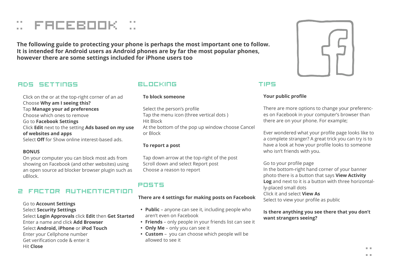

**The following guide to protecting your phone is perhaps the most important one to follow. It is intended for Android users as Android phones are by far the most popular phones, however there are some settings included for iPhone users too**

## Ads Settings

Click on the or at the top-right corner of an ad Choose **Why am I seeing this?** Tap **Manage your ad preferences** Choose which ones to remove Go to **Facebook Settings** Click **Edit** next to the setting **Ads based on my use of websites and apps** Select **Off** for Show online interest-based ads.

#### **BONUS**

On your computer you can block most ads from showing on Facebook (and other websites) using an open source ad blocker browser plugin such as uBlock.

## 2 factor authentication

Go to **Account Settings** Select **Security Settings** Select **Login Approvals** click **Edit** then **Get Started** Enter a name and click **Add Browser** Select **Android, iPhone** or **iPod Touch** Enter your Cellphone number Get verification code & enter it Hit **Close**

## blocking

#### **To block someone**

Select the person's profile Tap the menu icon (three vertical dots ) Hit Block At the bottom of the pop up window choose Cancel or Block

#### **To report a post**

Tap down arrow at the top-right of the post Scroll down and select Report post Choose a reason to report

## posts

#### **There are 4 settings for making posts on Facebook**

- **Public** anyone can see it, including people who aren't even on Facebook
- **• Friends** only people in your friends list can see it
- **• Only Me**  only you can see it
- **• Custom** you can choose which people will be allowed to see it



## Tips

#### **Your public profile**

There are more options to change your preferences on Facebook in your computer's browser than there are on your phone. For example;

Ever wondered what your profile page looks like to a complete stranger? A great trick you can try is to have a look at how your profile looks to someone who isn't friends with you.

#### Go to your profile page

In the bottom-right hand corner of your banner photo there is a button that says **View Activity Log** and next to it is a button with three horizontally-placed small dots Click it and select **View As**  Select to view your profile as public

#### **Is there anything you see there that you don't want strangers seeing?**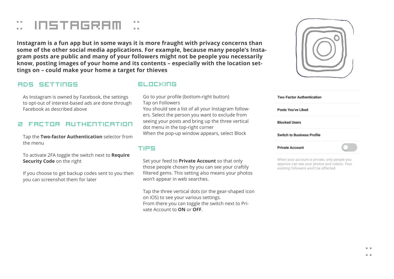## $::$  instagram  $::$

**Instagram is a fun app but in some ways it is more fraught with privacy concerns than some of the other social media applications. For example, because many people's Instagram posts are public and many of your followers might not be people you necessarily know, posting images of your home and its contents – especially with the location settings on – could make your home a target for thieves**

## Ads Settings

As Instagram is owned by Facebook, the settings to opt-out of interest-based ads are done through Facebook as described above

#### 2 factor authentication

Tap the **Two-factor Authentication** selector from the menu

To activate 2FA toggle the switch next to **Require Security Code** on the right

If you choose to get backup codes sent to you then you can screenshot them for later

## blocking

Go to your profile (bottom-right button) Tap on Followers

You should see a list of all your Instagram followers. Select the person you want to exclude from seeing your posts and bring up the three vertical dot menu in the top-right corner

When the pop-up window appears, select Block

## tips

Set your feed to **Private Account** so that only those people chosen by you can see your craftily filtered gems. This setting also means your photos won't appear in web searches.

Tap the three vertical dots (or the gear-shaped icon on iOS) to see your various settings. From there you can toggle the switch next to Private Account to **ON** or **OFF**.



| <b>Two-Factor Authentication</b>  |  |
|-----------------------------------|--|
| <b>Posts You've Liked</b>         |  |
| <b>Blocked Users</b>              |  |
| <b>Switch to Business Profile</b> |  |
| <b>Private Account</b>            |  |

When your account is private, only people you approve can see your photos and videos. Your existing followers won't be affected.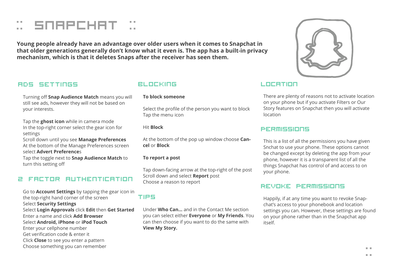## :: snapchat ::

**Young people already have an advantage over older users when it comes to Snapchat in that older generations generally don't know what it even is. The app has a built-in privacy mechanism, which is that it deletes Snaps after the receiver has seen them.**

## Ads Settings

Turning off **Snap Audience Match** means you will still see ads, however they will not be based on your interests.

Tap the **ghost icon** while in camera mode In the top-right corner select the gear icon for settings

Scroll down until you see **Manage Preferences** At the bottom of the Manage Preferences screen select **Advert Preference**s

Tap the toggle next to **Snap Audience Match** to turn this setting off

## 2 factor authentication

Go to **Account Settings** by tapping the gear icon in the top-right hand corner of the screen Select **Security Settings** Select **Login Approvals** click **Edit** then **Get Started** Enter a name and click **Add Browser** Select **Android, iPhone** or **iPod Touch** Enter your cellphone number Get verification code & enter it Click **Close** to see you enter a pattern Choose something you can remember

## blocking

#### **To block someone**

Select the profile of the person you want to block Tap the menu icon

#### Hit **Block**

At the bottom of the pop up window choose **Cancel** or **Block**

#### **To report a post**

Tap down-facing arrow at the top-right of the post Scroll down and select **Report** post Choose a reason to report

## tips

Under **Who Can…** and in the Contact Me section you can select either **Everyone** or **My Friends**. You can then choose if you want to do the same with **View My Story.**

## Location

There are plenty of reasons not to activate location on your phone but if you activate Filters or Our Story features on Snapchat then you will activate location

### Permissions

This is a list of all the permissions you have given Snchat to use your phone. These options cannot be changed except by deleting the app from your phone, however it is a transparent list of all the things Snapchat has control of and access to on your phone.

## Revoke Permissions

Happily, if at any time you want to revoke Snapchat's access to your phonebook and location settings you can. However, these settings are found on your phone rather than in the Snapchat app itself.

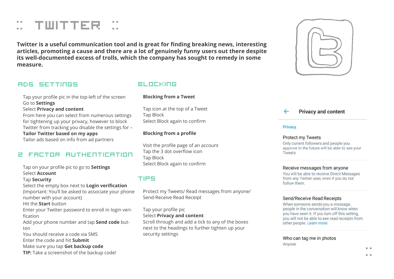## $::$  TWITTER

**Twitter is a useful communication tool and is great for finding breaking news, interesting articles, promoting a cause and there are a lot of genuinely funny users out there despite its well-documented excess of trolls, which the company has sought to remedy in some measure.**

## Ads Settings

Tap your profile pic in the top-left of the screen Go to **Settings**

#### Select **Privacy and content**

From here you can select from numerous settings for tightening up your privacy, however to block Twitter from tracking you disable the settings for – **Tailor Twitter based on my apps**

Tailor ads based on info from ad partners

## 2 factor authentication

Tap on your profile pic to go to **Settings** Select **Account** Tap **Security** Select the empty box next to **Login verification** (Important: You'll be asked to associate your phone number with your account) Hit the **Start** button Enter your Twitter password to enroll in login verification Add your phone number and tap **Send code** button You should receive a code via SMS Enter the code and hit **Submit** Make sure you tap **Get backup code TIP:** Take a screenshot of the backup code!

## blocking

#### **Blocking from a Tweet**

Tap icon at the top of a Tweet Tap Block Select Block again to confirm

#### **Blocking from a profile**

Visit the profile page of an account Tap the 3 dot overflow icon Tap Block Select Block again to confirm

## tips

Protect my Tweets/ Read messages from anyone/ Send-Receive Read Receipt

Tap your profile pic Select **Privacy and content**

Scroll through and add a tick to any of the boxes next to the headings to further tighten up your security settings



**Privacy and content** 

#### Privacy

#### Protect my Tweets

Only current followers and people you approve in the future will be able to see your Tweets

#### Receive messages from anyone

You will be able to receive Direct Messages from any Twitter user, even if you do not follow them.

#### Send/Receive Read Receipts

When someone sends you a message, people in the conversation will know when you have seen it. If you turn off this setting. you will not be able to see read receipts from other people. Learn more

Who can tag me in photos Anyone

::